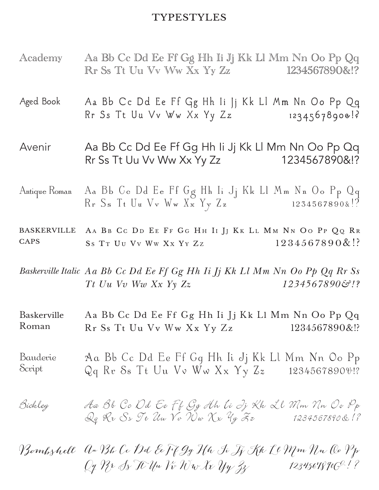## **TYPESTYLES**

- Academy Aa Bb Cc Dd Ee Ff Gg Hh Ii Jj Kk Ll Mm Nn Oo Pp Qq Rr Ss Tt Uu Vv Ww Xx Yy Zz 1234567890&!?
- Aged Book Aa Bb Cc Dd Ee Ff Gg Hh Ii Jj Kk Ll Mm Nn Oo Pp Qq Rr Ss Tt Uu Vv Ww  $Xx$  Yy  $Zz$  1234567890&!?
- Avenir Aa Bb Cc Dd Ee Ff Gg Hh Ii Jj Kk Ll Mm Nn Oo Pp Qq Rr Ss Tt Uu Vv Ww Xx Yy Zz 1234567890&!?
- Antique Roman Aa Bb Cc Dd Ee Ff Gg Hh Ii Jj Kk Ll Mm Nn Oo Pp Qq  $R_r$  Ss Tt Uu Vv Ww  $X_x$  Yy Zz 1234567890&!?
- Baskerville **CAPS** AA BB CC DD EE FF GG HH II JJ KK LL MM NN OO PP QQ RR SS TT UU VV WW XX YY ZZ  $1234567890\&$ !?

*Baskerville Italic Aa Bb Cc Dd Ee Ff Gg Hh Ii Jj Kk Ll Mm Nn Oo Pp Qq Rr Ss Tt Uu Vv Ww Xx Yy Zz 1234567890&!?*

Baskerville Roman Aa Bb Cc Dd Ee Ff Gg Hh Ii Jj Kk Ll Mm Nn Oo Pp Qq Rr Ss Tt Uu Vv Ww Xx Yy Zz 1234567890&!?

Bauderie Bauderie Aa Bb Cc Dd Ee Ff Gg Hh Ii Jj Kk Ll Mm Nn Oo Pp<br>Script Qq Rr Ss Tt Uu Vv Ww Xx Yv Zz 1234567890\pi? Qq Rr Ss Tt Uu Vv Ww Xx Yy Zz 1234567890&!?

Bickley Aa Bb Cc Dd Ee Ff Gg Hh Ii Jj Kk Ll Mm Nn Oo Pp  $Q_q$  Rr Ss Tt Uu  $\gamma_v$  Nw  $\chi_{\kappa}$   $\gamma_y$   $\mathcal{F}_z$  1234567890&!?

Bombshell Aa Bb Cc Dd Ee Ff Gg Hh Ii Jj Kk Ll Mm Nn Oo Pp  $Q_7$   $P_7$   $\Delta$ s It Uu Vv Ww Xx  $V_7$   $V_8$   $V_9$   $V_9$   $V_8$  1234567890 $C^2$ !?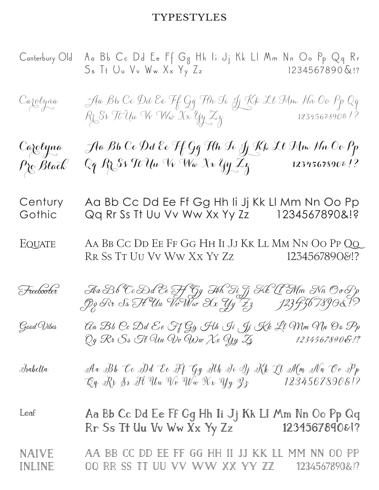## **TYPESTYLES**

| Canterbury Old              | Aa Bb Cc Dd Ee Ff Gg Hh Ii Jj Kk Ll Mm Nn Oo Pp Qq Rr<br>Ss It Uu Vv Ww Xx Yy Zz 1234567890&!?  |               |
|-----------------------------|-------------------------------------------------------------------------------------------------|---------------|
| Carolyna                    | Aa Bb Cc Dd Ee Ff Gg Flh Ii Jj Kk Ll Mm Nn Oo Pp Qq<br>Rr Ss Tt Uu Vv Ww Xx Yy Zy               |               |
| Carolyna<br>$\rho$ ro Black | Aa Bb Cc Dd Ee Ff Gg Flh Ii Jj Kk Ll Mm Nn Oo Pp<br>Qq Rz Ss Tt Uu Vv Wa Xx Yy Zz 12345678908!? |               |
| Century<br>Gothic           | Aa Bb Cc Dd Ee Ff Gg Hh Ii Jj Kk Ll Mm Nn Oo Pp<br>Qq Rr Ss Tt Uu Vv Ww Xx Yy Zz 1234567890&!?  |               |
| EQUATE                      | AA BB CC DD EE FF GG HH II JJ KK LL MM NN OO PP QQ<br>RR SS TT UU VV WW Xx YY Zz 1234567890&!?  |               |
| Freebooter                  |                                                                                                 |               |
| Good Wibes                  | Ga Bb Oc Dd Ee Ff Gg Hh Ji Jj Kk Ll Mm Nn Oo Pp<br>Qg Rr Ss Tt Uu Wv Ww Xx Yy Zz                | 1234567890&!? |
| Isabella                    | Ava Bb Co Dd Ee Ff Gg Alh Ti Ij Kk Ll Alm An Oo Pp<br>"Cg Rr Ss It Uw Vo Ww Xx Yy Zz            | 12345678908!? |
| Leaf                        | Aa Bb Cc Dd Ee Ff Gg Hh Ii Jj Kk Ll Mm Nn Oo Pp Qq<br>Rr Ss Tt Uu Vv Ww Xx Yy Zz                | 123456789081? |
| NAIVE<br>INLINE             | AA BB CC DD EE FF GG HH II JJ KK LL MM NN OO PP<br>QQ RR SS TT UU VV WW XX YY ZZ 1234567890&!?  |               |